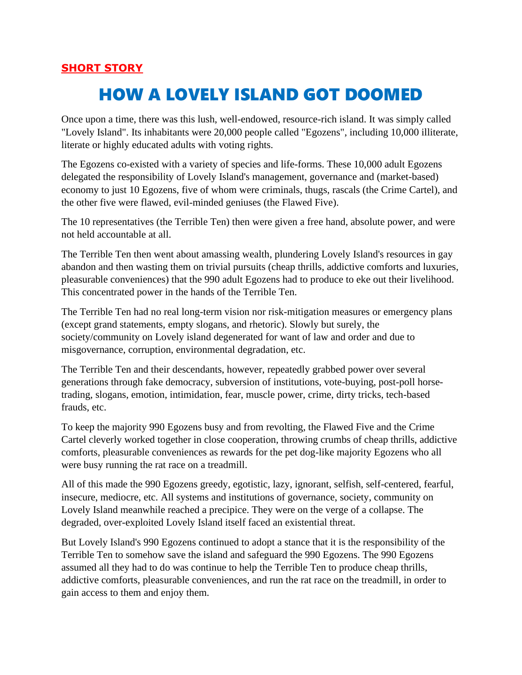## HOW A LOVELY ISLAND GOT DOOMED

Once upon a time, there was this lush, well-endowed, resource-rich island. It was simply called "Lovely Island". Its inhabitants were 20,000 people called "Egozens", including 10,000 illiterate, literate or highly educated adults with voting rights.

The Egozens co-existed with a variety of species and life-forms. These 10,000 adult Egozens delegated the responsibility of Lovely Island's management, governance and (market-based) economy to just 10 Egozens, five of whom were criminals, thugs, rascals (the Crime Cartel), and the other five were flawed, evil-minded geniuses (the Flawed Five).

The 10 representatives (the Terrible Ten) then were given a free hand, absolute power, and were not held accountable at all.

The Terrible Ten then went about amassing wealth, plundering Lovely Island's resources in gay abandon and then wasting them on trivial pursuits (cheap thrills, addictive comforts and luxuries, pleasurable conveniences) that the 990 adult Egozens had to produce to eke out their livelihood. This concentrated power in the hands of the Terrible Ten.

The Terrible Ten had no real long-term vision nor risk-mitigation measures or emergency plans (except grand statements, empty slogans, and rhetoric). Slowly but surely, the society/community on Lovely island degenerated for want of law and order and due to misgovernance, corruption, environmental degradation, etc.

The Terrible Ten and their descendants, however, repeatedly grabbed power over several generations through fake democracy, subversion of institutions, vote-buying, post-poll horsetrading, slogans, emotion, intimidation, fear, muscle power, crime, dirty tricks, tech-based frauds, etc.

To keep the majority 990 Egozens busy and from revolting, the Flawed Five and the Crime Cartel cleverly worked together in close cooperation, throwing crumbs of cheap thrills, addictive comforts, pleasurable conveniences as rewards for the pet dog-like majority Egozens who all were busy running the rat race on a treadmill.

All of this made the 990 Egozens greedy, egotistic, lazy, ignorant, selfish, self-centered, fearful, insecure, mediocre, etc. All systems and institutions of governance, society, community on Lovely Island meanwhile reached a precipice. They were on the verge of a collapse. The degraded, over-exploited Lovely Island itself faced an existential threat.

But Lovely Island's 990 Egozens continued to adopt a stance that it is the responsibility of the Terrible Ten to somehow save the island and safeguard the 990 Egozens. The 990 Egozens assumed all they had to do was continue to help the Terrible Ten to produce cheap thrills, addictive comforts, pleasurable conveniences, and run the rat race on the treadmill, in order to gain access to them and enjoy them.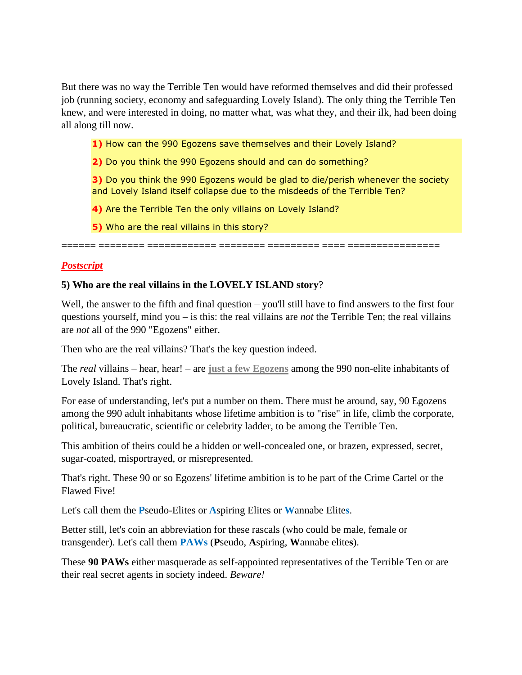But there was no way the Terrible Ten would have reformed themselves and did their professed job (running society, economy and safeguarding Lovely Island). The only thing the Terrible Ten knew, and were interested in doing, no matter what, was what they, and their ilk, had been doing all along till now.

**1)** How can the 990 Egozens save themselves and their Lovely Island?

**2)** Do you think the 990 Egozens should and can do something?

**3)** Do you think the 990 Egozens would be glad to die/perish whenever the society and Lovely Island itself collapse due to the misdeeds of the Terrible Ten?

**4)** Are the Terrible Ten the only villains on Lovely Island?

**5)** Who are the real villains in this story?

====== ======== ============ ======== ========= ==== ================

## *[Postscript](https://www.nrinatter.com/2021-forecast)*

## **5) Who are the real villains in the LOVELY ISLAND story**?

Well, the answer to the fifth and final question – you'll still have to find answers to the first four questions yourself, mind you – is this: the real villains are *not* the Terrible Ten; the real villains are *not* all of the 990 "Egozens" either.

Then who are the real villains? That's the key question indeed.

The *real* villains – hear, hear! – are **just a few Egozens** among the 990 non-elite inhabitants of Lovely Island. That's right.

For ease of understanding, let's put a number on them. There must be around, say, 90 Egozens among the 990 adult inhabitants whose lifetime ambition is to "rise" in life, climb the corporate, political, bureaucratic, scientific or celebrity ladder, to be among the Terrible Ten.

This ambition of theirs could be a hidden or well-concealed one, or brazen, expressed, secret, sugar-coated, misportrayed, or misrepresented.

That's right. These 90 or so Egozens' lifetime ambition is to be part of the Crime Cartel or the Flawed Five!

Let's call them the **P**seudo-Elites or **A**spiring Elites or **W**annabe Elite**s**.

Better still, let's coin an abbreviation for these rascals (who could be male, female or transgender). Let's call them **PAWs** (**P**seudo, **A**spiring, **W**annabe elite**s**).

These **90 PAWs** either masquerade as self-appointed representatives of the Terrible Ten or are their real secret agents in society indeed. *Beware!*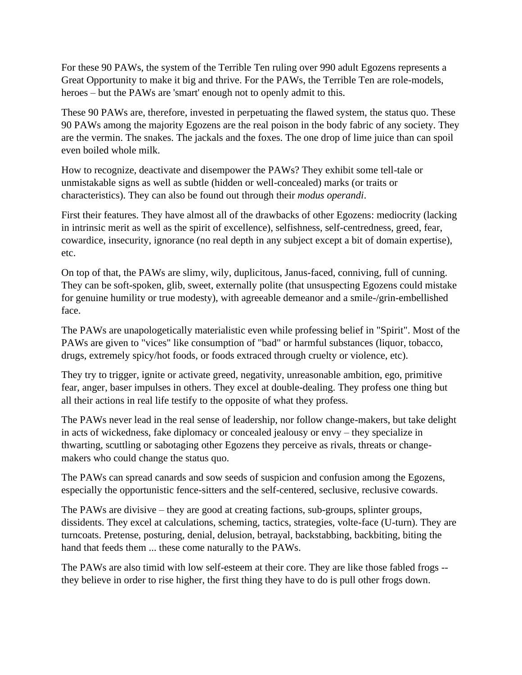For these 90 PAWs, the system of the Terrible Ten ruling over 990 adult Egozens represents a Great Opportunity to make it big and thrive. For the PAWs, the Terrible Ten are role-models, heroes – but the PAWs are 'smart' enough not to openly admit to this.

These 90 PAWs are, therefore, invested in perpetuating the flawed system, the status quo. These 90 PAWs among the majority Egozens are the real poison in the body fabric of any society. They are the vermin. The snakes. The jackals and the foxes. The one drop of lime juice than can spoil even boiled whole milk.

How to recognize, deactivate and disempower the PAWs? They exhibit some tell-tale or unmistakable signs as well as subtle (hidden or well-concealed) marks (or traits or characteristics). They can also be found out through their *modus operandi*.

First their features. They have almost all of the drawbacks of other Egozens: mediocrity (lacking in intrinsic merit as well as the spirit of excellence), selfishness, self-centredness, greed, fear, cowardice, insecurity, ignorance (no real depth in any subject except a bit of domain expertise), etc.

On top of that, the PAWs are slimy, wily, duplicitous, Janus-faced, conniving, full of cunning. They can be soft-spoken, glib, sweet, externally polite (that unsuspecting Egozens could mistake for genuine humility or true modesty), with agreeable demeanor and a smile-/grin-embellished face.

The PAWs are unapologetically materialistic even while professing belief in "Spirit". Most of the PAWs are given to "vices" like consumption of "bad" or harmful substances (liquor, tobacco, drugs, extremely spicy/hot foods, or foods extraced through cruelty or violence, etc).

They try to trigger, ignite or activate greed, negativity, unreasonable ambition, ego, primitive fear, anger, baser impulses in others. They excel at double-dealing. They profess one thing but all their actions in real life testify to the opposite of what they profess.

The PAWs never lead in the real sense of leadership, nor follow change-makers, but take delight in acts of wickedness, fake diplomacy or concealed jealousy or envy – they specialize in thwarting, scuttling or sabotaging other Egozens they perceive as rivals, threats or changemakers who could change the status quo.

The PAWs can spread canards and sow seeds of suspicion and confusion among the Egozens, especially the opportunistic fence-sitters and the self-centered, seclusive, reclusive cowards.

The PAWs are divisive – they are good at creating factions, sub-groups, splinter groups, dissidents. They excel at calculations, scheming, tactics, strategies, volte-face (U-turn). They are turncoats. Pretense, posturing, denial, delusion, betrayal, backstabbing, backbiting, biting the hand that feeds them ... these come naturally to the PAWs.

The PAWs are also timid with low self-esteem at their core. They are like those fabled frogs - they believe in order to rise higher, the first thing they have to do is pull other frogs down.